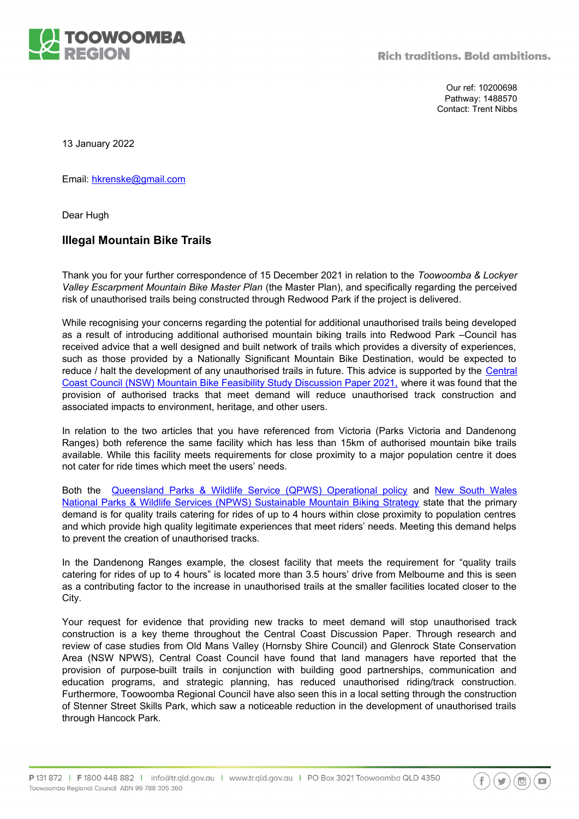

Our ref: 10200698 Pathway: 1488570 Contact: Trent Nibbs

13 January 2022

Email: [hkrenske@gmail.com](mailto:hkrenske@gmail.com)

Dear Hugh

## **Illegal Mountain Bike Trails**

Thank you for your further correspondence of 15 December 2021 in relation to the *Toowoomba & Lockyer Valley Escarpment Mountain Bike Master Plan* (the Master Plan), and specifically regarding the perceived risk of unauthorised trails being constructed through Redwood Park if the project is delivered.

While recognising your concerns regarding the potential for additional unauthorised trails being developed as a result of introducing additional authorised mountain biking trails into Redwood Park –Council has received advice that a well designed and built network of trails which provides a diversity of experiences, such as those provided by a Nationally Significant Mountain Bike Destination, would be expected to reduce / halt the development of any unauthorised trails in future. This advice is supported by the [Central](https://www.yourvoiceourcoast.com/sites/default/files/2021-12/mtb_discussion_paper_-_ccc_consultation_report_final.pdf) [Coast Council \(NSW\) Mountain Bike Feasibility Study Discussion Paper 2021,](https://www.yourvoiceourcoast.com/sites/default/files/2021-12/mtb_discussion_paper_-_ccc_consultation_report_final.pdf) where it was found that the provision of authorised tracks that meet demand will reduce unauthorised track construction and associated impacts to environment, heritage, and other users.

In relation to the two articles that you have referenced from Victoria (Parks Victoria and Dandenong Ranges) both reference the same facility which has less than 15km of authorised mountain bike trails available. While this facility meets requirements for close proximity to a major population centre it does not cater for ride times which meet the users' needs.

Both the [Queensland Parks & Wildlife Service \(QPWS\) Operational policy](https://parks.des.qld.gov.au/__data/assets/pdf_file/0024/158361/op-pk-vm-mountain-biking.pdf) and [New South Wales](https://www.environment.nsw.gov.au/-/media/OEH/Corporate-Site/Documents/Policy-and-law/sustainable-mountain-biking-strategy-110649.pdf) [National Parks & Wildlife Services \(NPWS\) Sustainable Mountain Biking Strategy](https://www.environment.nsw.gov.au/-/media/OEH/Corporate-Site/Documents/Policy-and-law/sustainable-mountain-biking-strategy-110649.pdf) state that the primary demand is for quality trails catering for rides of up to 4 hours within close proximity to population centres and which provide high quality legitimate experiences that meet riders' needs. Meeting this demand helps to prevent the creation of unauthorised tracks.

In the Dandenong Ranges example, the closest facility that meets the requirement for "quality trails catering for rides of up to 4 hours" is located more than 3.5 hours' drive from Melbourne and this is seen as a contributing factor to the increase in unauthorised trails at the smaller facilities located closer to the City.

Your request for evidence that providing new tracks to meet demand will stop unauthorised track construction is a key theme throughout the Central Coast Discussion Paper. Through research and review of case studies from Old Mans Valley (Hornsby Shire Council) and Glenrock State Conservation Area (NSW NPWS), Central Coast Council have found that land managers have reported that the provision of purpose-built trails in conjunction with building good partnerships, communication and education programs, and strategic planning, has reduced unauthorised riding/track construction. Furthermore, Toowoomba Regional Council have also seen this in a local setting through the construction of Stenner Street Skills Park, which saw a noticeable reduction in the development of unauthorised trails through Hancock Park.